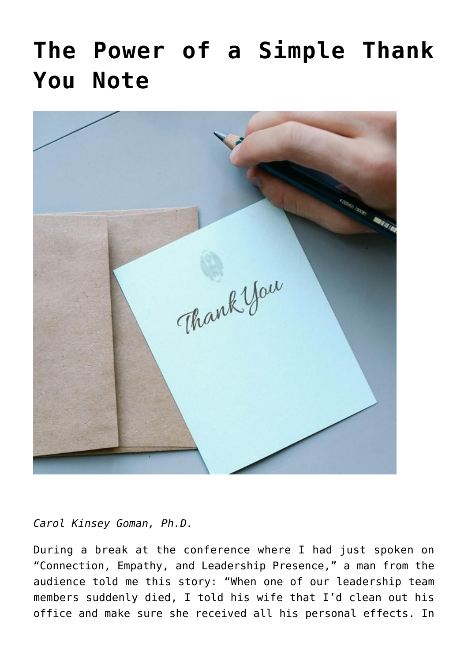## **[The Power of a Simple Thank](https://www.commpro.biz/the-power-of-a-simple-thank-you-note/) [You Note](https://www.commpro.biz/the-power-of-a-simple-thank-you-note/)**



*Carol Kinsey Goman, Ph.D.*

During a break at the conference where I had just spoken on "Connection, Empathy, and Leadership Presence," a man from the audience told me this story: "When one of our leadership team members suddenly died, I told his wife that I'd clean out his office and make sure she received all his personal effects. In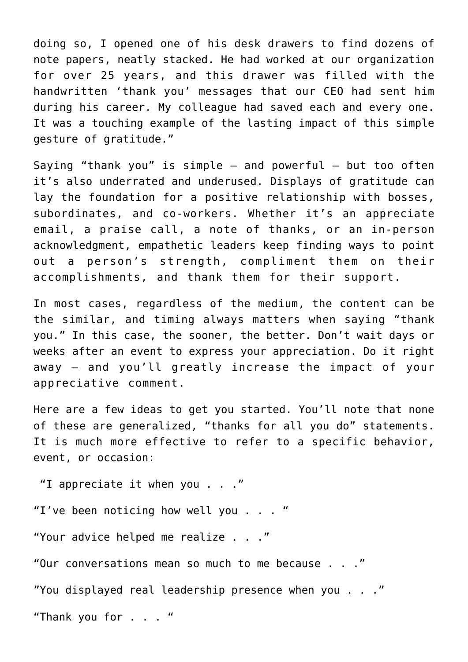doing so, I opened one of his desk drawers to find dozens of note papers, neatly stacked. He had worked at our organization for over 25 years, and this drawer was filled with the handwritten 'thank you' messages that our CEO had sent him during his career. My colleague had saved each and every one. It was a touching example of the lasting impact of this simple gesture of gratitude."

Saying "thank you" is simple  $-$  and powerful  $-$  but too often it's also underrated and underused. Displays of gratitude can lay the foundation for a positive relationship with bosses, subordinates, and co-workers. Whether it's an appreciate email, a praise call, a note of thanks, or an in-person acknowledgment, [empathetic leaders](https://www.commpro.biz/?s=empathetic+leaders) keep finding ways to point out a person's strength, compliment them on their accomplishments, and thank them for their support.

In most cases, regardless of the medium, the content can be the similar, and timing always matters when saying "thank you." In this case, the sooner, the better. Don't wait days or weeks after an event to express your appreciation. Do it right away — and you'll greatly increase the impact of your appreciative comment.

Here are a few ideas to get you started. You'll note that none of these are generalized, "thanks for all you do" statements. It is much more effective to refer to a specific behavior, event, or occasion:

 "I appreciate it when you . . ." "I've been noticing how well you . . . " "Your advice helped me realize . . ." "Our conversations mean so much to me because . . ." "You displayed real leadership presence when you . . ." "Thank you for . . . "